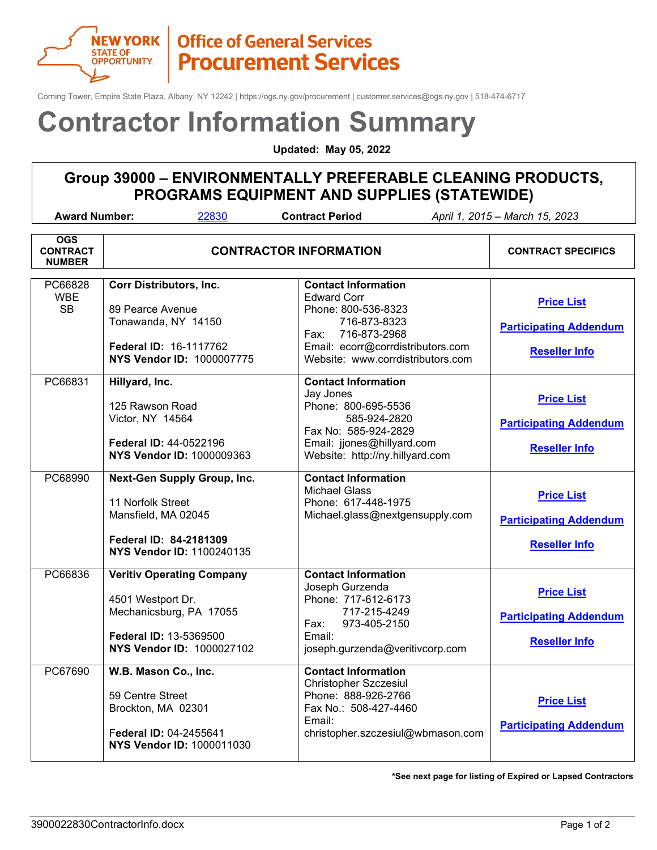

### **Office of General Services Procurement Services**

Corning Tower, Empire State Plaza, Albany, NY 12242 | https://ogs.ny.gov/procurement | customer.services@ogs.ny.gov | 518-474-6717

# **Contractor Information Summary**

**Updated: May 05, 2022**

#### **Group 39000 – ENVIRONMENTALLY PREFERABLE CLEANING PRODUCTS, PROGRAMS EQUIPMENT AND SUPPLIES (STATEWIDE)**

| <b>Award Number:</b><br>22830<br><b>Contract Period</b><br>April 1, 2015 - March 15, 2023 |                                                                                                                                         |                                                                                                                                                                                           |                                                                            |  |  |
|-------------------------------------------------------------------------------------------|-----------------------------------------------------------------------------------------------------------------------------------------|-------------------------------------------------------------------------------------------------------------------------------------------------------------------------------------------|----------------------------------------------------------------------------|--|--|
| <b>OGS</b><br><b>CONTRACT</b><br><b>NUMBER</b>                                            | <b>CONTRACTOR INFORMATION</b>                                                                                                           | <b>CONTRACT SPECIFICS</b>                                                                                                                                                                 |                                                                            |  |  |
| PC66828<br><b>WBE</b><br><b>SB</b>                                                        | <b>Corr Distributors, Inc.</b><br>89 Pearce Avenue<br>Tonawanda, NY 14150<br>Federal ID: 16-1117762<br><b>NYS Vendor ID: 1000007775</b> | <b>Contact Information</b><br><b>Edward Corr</b><br>Phone: 800-536-8323<br>716-873-8323<br>716-873-2968<br>Fax:<br>Email: ecorr@corrdistributors.com<br>Website: www.corrdistributors.com | <b>Price List</b><br><b>Participating Addendum</b><br><b>Reseller Info</b> |  |  |
| PC66831                                                                                   | Hillyard, Inc.<br>125 Rawson Road<br>Victor, NY 14564<br>Federal ID: 44-0522196<br><b>NYS Vendor ID: 1000009363</b>                     | <b>Contact Information</b><br>Jay Jones<br>Phone: 800-695-5536<br>585-924-2820<br>Fax No: 585-924-2829<br>Email: jjones@hillyard.com<br>Website: http://ny.hillyard.com                   | <b>Price List</b><br><b>Participating Addendum</b><br><b>Reseller Info</b> |  |  |
| PC68990                                                                                   | Next-Gen Supply Group, Inc.<br>11 Norfolk Street<br>Mansfield, MA 02045<br>Federal ID: 84-2181309<br><b>NYS Vendor ID: 1100240135</b>   | <b>Contact Information</b><br><b>Michael Glass</b><br>Phone: 617-448-1975<br>Michael.glass@nextgensupply.com                                                                              | <b>Price List</b><br><b>Participating Addendum</b><br><b>Reseller Info</b> |  |  |
| PC66836                                                                                   | <b>Veritiv Operating Company</b><br>4501 Westport Dr.<br>Mechanicsburg, PA 17055<br>Federal ID: 13-5369500<br>NYS Vendor ID: 1000027102 | <b>Contact Information</b><br>Joseph Gurzenda<br>Phone: 717-612-6173<br>717-215-4249<br>973-405-2150<br>Fax:<br>Email:<br>joseph.gurzenda@veritivcorp.com                                 | <b>Price List</b><br><b>Participating Addendum</b><br><b>Reseller Info</b> |  |  |
| PC67690                                                                                   | W.B. Mason Co., Inc.<br>59 Centre Street<br>Brockton, MA 02301<br>Federal ID: 04-2455641<br>NYS Vendor ID: 1000011030                   | <b>Contact Information</b><br><b>Christopher Szczesiul</b><br>Phone: 888-926-2766<br>Fax No.: 508-427-4460<br>Email:<br>christopher.szczesiul@wbmason.com                                 | <b>Price List</b><br><b>Participating Addendum</b>                         |  |  |

**\*See next page for listing of Expired or Lapsed Contractors**